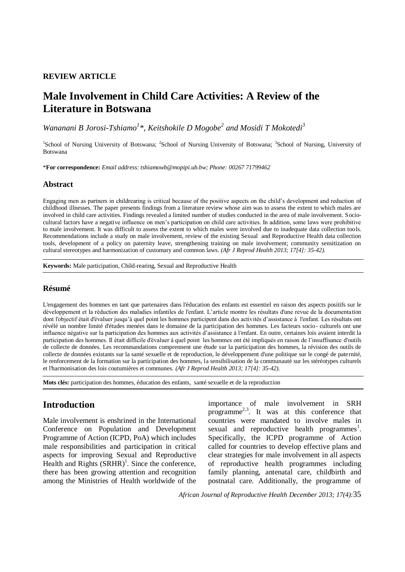#### **REVIEW ARTICLE**

# **Male Involvement in Child Care Activities: A Review of the Literature in Botswana**

*Wananani B Jorosi-Tshiamo<sup>1</sup> \**, *Keitshokile D Mogobe<sup>2</sup> and Mosidi T Mokotedi<sup>3</sup>*

<sup>1</sup>School of Nursing University of Botswana; <sup>2</sup>School of Nursing University of Botswana; <sup>3</sup>School of Nursing, University of Botswana

\***For correspondence:** *Email address: tshiamowb@mopipi.ub.bw; Phone: 00267 71799462*

#### **Abstract**

Engaging men as partners in childrearing is critical because of the positive aspects on the child's development and reduction of childhood illnesses. The paper presents findings from a literature review whose aim was to assess the extent to which males are involved in child care activities. Findings revealed a limited number of studies conducted in the area of male involvement. Sociocultural factors have a negative influence on men's participation on child care activities. In addition, some laws were prohibitive to male involvement. It was difficult to assess the extent to which males were involved due to inadequate data collection tools. Recommendations include a study on male involvement, review of the existing Sexual and Reproductive Health data collection tools, development of a policy on paternity leave, strengthening training on male involvement; community sensitization on cultural stereotypes and harmonization of customary and common laws. *(Afr J Reprod Health 2013; 17[4]: 35-42).*

**Keywords:** Male participation, Child-rearing, Sexual and Reproductive Health

#### **Résumé**

L'engagement des hommes en tant que partenaires dans l'éducation des enfants est essentiel en raison des aspects positifs sur le développement et la réduction des maladies infantiles de l'enfant. L'article montre les résultats d'une revue de la documentation dont l'objectif était d'évaluer jusqu'à quel point les hommes participent dans des activités d'assistance à l'enfant. Les résultats ont révélé un nombre limité d'études menées dans le domaine de la participation des hommes. Les facteurs socio- culturels ont une influence négative sur la participation des hommes aux activités d'assistance à l'enfant. En outre, certaines lois avaient interdit la participation des hommes. Il était difficile d'évaluer à quel point les hommes ont été impliqués en raison de l'insuffisance d'outils de collecte de données. Les recommandations comprennent une étude sur la participation des hommes, la révision des outils de collecte de données existants sur la santé sexuelle et de reproduction, le développement d'une politique sur le congé de paternité, le renforcement de la formation sur la participation des hommes, la sensibilisation de la communauté sur les stéréotypes culturels et l'harmonisation des lois coutumières et communes. *(Afr J Reprod Health 2013; 17[4]: 35-42).*

**Mots clés:** participation des hommes, éducation des enfants, santé sexuelle et de la reproduction

## **Introduction**

Male involvement is enshrined in the International Conference on Population and Development Programme of Action (ICPD, PoA) which includes male responsibilities and participation in critical aspects for improving Sexual and Reproductive Health and Rights  $(SRHR)^{1}$ . Since the conference, there has been growing attention and recognition among the Ministries of Health worldwide of the

importance of male involvement in SRH programme2,3. It was at this conference that countries were mandated to involve males in sexual and reproductive health programmes<sup>1</sup>. Specifically, the ICPD programme of Action called for countries to develop effective plans and clear strategies for male involvement in all aspects of reproductive health programmes including family planning, antenatal care, childbirth and postnatal care. Additionally, the programme of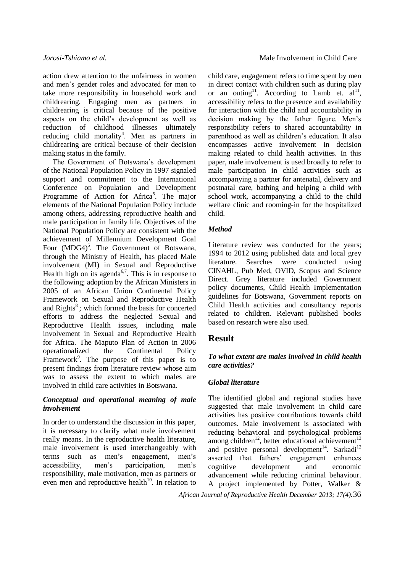action drew attention to the unfairness in women and men's gender roles and advocated for men to take more responsibility in household work and childrearing. Engaging men as partners in childrearing is critical because of the positive aspects on the child's development as well as reduction of childhood illnesses ultimately reducing child mortality<sup>4</sup>. Men as partners in childrearing are critical because of their decision making status in the family.

The Government of Botswana's development of the National Population Policy in 1997 signaled support and commitment to the International Conference on Population and Development Programme of Action for Africa<sup>5</sup>. The major elements of the National Population Policy include among others, addressing reproductive health and male participation in family life. Objectives of the National Population Policy are consistent with the achievement of Millennium Development Goal Four  $(MDG4)^5$ . The Government of Botswana, through the Ministry of Health, has placed Male involvement (MI) in Sexual and Reproductive Health high on its agenda<sup>6,7</sup>. This is in response to the following; adoption by the African Ministers in 2005 of an African Union Continental Policy Framework on Sexual and Reproductive Health and Rights<sup>8</sup>; which formed the basis for concerted efforts to address the neglected Sexual and Reproductive Health issues, including male involvement in Sexual and Reproductive Health for Africa. The Maputo Plan of Action in 2006 operationalized the Continental Policy Framework<sup>9</sup>. The purpose of this paper is to present findings from literature review whose aim was to assess the extent to which males are involved in child care activities in Botswana.

#### *Conceptual and operational meaning of male involvement*

In order to understand the discussion in this paper, it is necessary to clarify what male involvement really means. In the reproductive health literature, male involvement is used interchangeably with terms such as men's engagement, men's accessibility, men's participation, men's responsibility, male motivation, men as partners or even men and reproductive health<sup>10</sup>. In relation to child care, engagement refers to time spent by men in direct contact with children such as during play or an outing<sup>11</sup>. According to Lamb et.  $al<sup>11</sup>$ , accessibility refers to the presence and availability for interaction with the child and accountability in decision making by the father figure. Men's responsibility refers to shared accountability in parenthood as well as children's education. It also encompasses active involvement in decision making related to child health activities. In this paper, male involvement is used broadly to refer to male participation in child activities such as accompanying a partner for antenatal, delivery and postnatal care, bathing and helping a child with school work, accompanying a child to the child welfare clinic and rooming-in for the hospitalized child.

#### *Method*

Literature review was conducted for the years; 1994 to 2012 using published data and local grey literature. Searches were conducted using CINAHL, Pub Med, OVID, Scopus and Science Direct. Grey literature included Government policy documents, Child Health Implementation guidelines for Botswana, Government reports on Child Health activities and consultancy reports related to children. Relevant published books based on research were also used.

## **Result**

#### *To what extent are males involved in child health care activities?*

#### *Global literature*

The identified global and regional studies have suggested that male involvement in child care activities has positive contributions towards child outcomes. Male involvement is associated with reducing behavioral and psychological problems among children<sup>12</sup>, better educational achievement<sup>13</sup> and positive personal development<sup>14</sup>. Sarkadi<sup>12</sup> asserted that fathers' engagement enhances cognitive development and economic advancement while reducing criminal behaviour. A project implemented by Potter, Walker &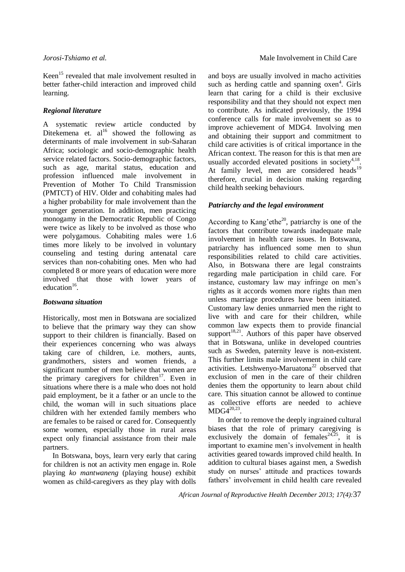Keen<sup>15</sup> revealed that male involvement resulted in better father-child interaction and improved child learning.

#### *Regional literature*

A systematic review article conducted by Ditekemena et.  $al^{16}$  showed the following as determinants of male involvement in sub-Saharan Africa; sociologic and socio-demographic health service related factors. Socio-demographic factors, such as age, marital status, education and profession influenced male involvement in Prevention of Mother To Child Transmission (PMTCT) of HIV. Older and cohabiting males had a higher probability for male involvement than the younger generation. In addition, men practicing monogamy in the Democratic Republic of Congo were twice as likely to be involved as those who were polygamous. Cohabiting males were 1.6 times more likely to be involved in voluntary counseling and testing during antenatal care services than non-cohabiting ones. Men who had completed 8 or more years of education were more involved that those with lower years of education<sup>16</sup>.

#### *Botswana situation*

Historically, most men in Botswana are socialized to believe that the primary way they can show support to their children is financially. Based on their experiences concerning who was always taking care of children, i.e. mothers, aunts, grandmothers, sisters and women friends, a significant number of men believe that women are the primary caregivers for children<sup>17</sup>. Even in situations where there is a male who does not hold paid employment, be it a father or an uncle to the child, the woman will in such situations place children with her extended family members who are females to be raised or cared for. Consequently some women, especially those in rural areas expect only financial assistance from their male partners.

In Botswana, boys, learn very early that caring for children is not an activity men engage in. Role playing *ko mantwaneng* (playing house) exhibit women as child-caregivers as they play with dolls

and boys are usually involved in macho activities such as herding cattle and spanning oxen<sup>4</sup>. Girls learn that caring for a child is their exclusive responsibility and that they should not expect men to contribute. As indicated previously, the 1994 conference calls for male involvement so as to improve achievement of MDG4. Involving men and obtaining their support and commitment to child care activities is of critical importance in the African context. The reason for this is that men are usually accorded elevated positions in society $4.18$ . At family level, men are considered heads<sup>19</sup> therefore, crucial in decision making regarding child health seeking behaviours.

#### *Patriarchy and the legal environment*

According to Kang'ethe<sup>20</sup>, patriarchy is one of the factors that contribute towards inadequate male involvement in health care issues. In Botswana, patriarchy has influenced some men to shun responsibilities related to child care activities. Also, in Botswana there are legal constraints regarding male participation in child care. For instance, customary law may infringe on men's rights as it accords women more rights than men unless marriage procedures have been initiated. Customary law denies unmarried men the right to live with and care for their children, while common law expects them to provide financial support $18,21$ . Authors of this paper have observed that in Botswana, unlike in developed countries such as Sweden, paternity leave is non-existent. This further limits male involvement in child care activities. Letshwenyo-Maruatona<sup>22</sup> observed that exclusion of men in the care of their children denies them the opportunity to learn about child care. This situation cannot be allowed to continue as collective efforts are needed to achieve  $MDG4^{20,23}$ .

In order to remove the deeply ingrained cultural biases that the role of primary caregiving is exclusively the domain of females<sup>24,25</sup>, it is important to examine men's involvement in health activities geared towards improved child health. In addition to cultural biases against men, a Swedish study on nurses' attitude and practices towards fathers' involvement in child health care revealed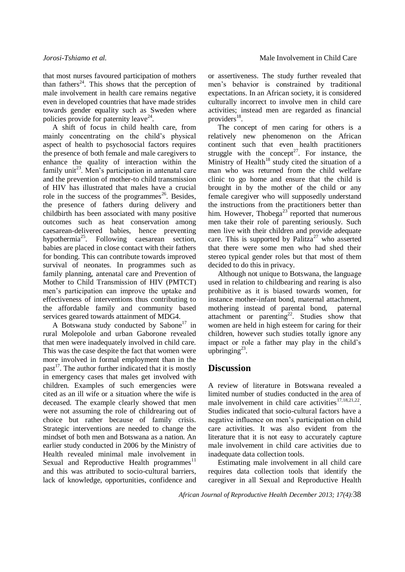that most nurses favoured participation of mothers than fathers<sup>24</sup>. This shows that the perception of male involvement in health care remains negative even in developed countries that have made strides towards gender equality such as Sweden where policies provide for paternity leave<sup>24</sup>.

A shift of focus in child health care, from mainly concentrating on the child's physical aspect of health to psychosocial factors requires the presence of both female and male caregivers to enhance the quality of interaction within the family unit<sup>23</sup>. Men's participation in antenatal care and the prevention of mother-to child transmission of HIV has illustrated that males have a crucial role in the success of the programmes<sup>26</sup>. Besides, the presence of fathers during delivery and childbirth has been associated with many positive outcomes such as heat conservation among caesarean-delivered babies, hence preventing hypothermia<sup>25</sup>. Following caesarean section, babies are placed in close contact with their fathers for bonding. This can contribute towards improved survival of neonates. In programmes such as family planning, antenatal care and Prevention of Mother to Child Transmission of HIV (PMTCT) men's participation can improve the uptake and effectiveness of interventions thus contributing to the affordable family and community based services geared towards attainment of MDG4.

A Botswana study conducted by Sabone<sup>17</sup> in rural Molepolole and urban Gaborone revealed that men were inadequately involved in child care. This was the case despite the fact that women were more involved in formal employment than in the past<sup>17</sup>. The author further indicated that it is mostly in emergency cases that males get involved with children. Examples of such emergencies were cited as an ill wife or a situation where the wife is deceased. The example clearly showed that men were not assuming the role of childrearing out of choice but rather because of family crisis. Strategic interventions are needed to change the mindset of both men and Botswana as a nation. An earlier study conducted in 2006 by the Ministry of Health revealed minimal male involvement in Sexual and Reproductive Health programmes<sup>11</sup> and this was attributed to socio-cultural barriers, lack of knowledge, opportunities, confidence and

or assertiveness. The study further revealed that men's behavior is constrained by traditional expectations. In an African society, it is considered culturally incorrect to involve men in child care activities; instead men are regarded as financial providers<sup>18</sup>.

The concept of men caring for others is a relatively new phenomenon on the African continent such that even health practitioners struggle with the concept<sup>27</sup>. For instance, the Ministry of Health<sup>18</sup> study cited the situation of a man who was returned from the child welfare clinic to go home and ensure that the child is brought in by the mother of the child or any female caregiver who will supposedly understand the instructions from the practitioners better than him. However, Thobega<sup>23</sup> reported that numerous men take their role of parenting seriously. Such men live with their children and provide adequate care. This is supported by Palitza<sup>27</sup> who asserted that there were some men who had shed their stereo typical gender roles but that most of them decided to do this in privacy.

Although not unique to Botswana, the language used in relation to childbearing and rearing is also prohibitive as it is biased towards women, for instance mother-infant bond, maternal attachment, mothering instead of parental bond, paternal attachment or parenting<sup>22</sup>. Studies show that women are held in high esteem for caring for their children, however such studies totally ignore any impact or role a father may play in the child's upbringing $^{23}$ .

### **Discussion**

A review of literature in Botswana revealed a limited number of studies conducted in the area of male involvement in child care activities  $17,18,21,22$ . Studies indicated that socio-cultural factors have a negative influence on men's participation on child care activities. It was also evident from the literature that it is not easy to accurately capture male involvement in child care activities due to inadequate data collection tools.

Estimating male involvement in all child care requires data collection tools that identify the caregiver in all Sexual and Reproductive Health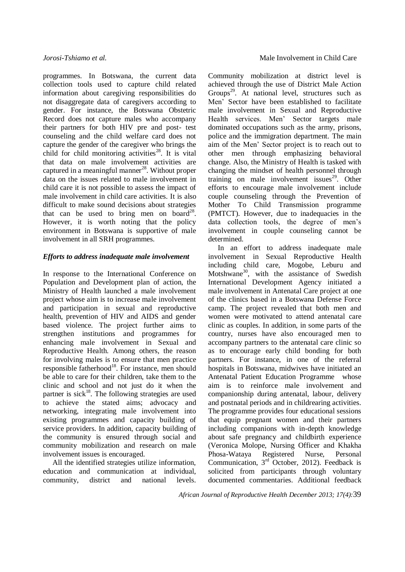programmes. In Botswana, the current data collection tools used to capture child related information about caregiving responsibilities do not disaggregate data of caregivers according to gender. For instance, the Botswana Obstetric Record does not capture males who accompany their partners for both HIV pre and post- test counseling and the child welfare card does not capture the gender of the caregiver who brings the child for child monitoring activities<sup>28</sup>. It is vital that data on male involvement activities are captured in a meaningful manner<sup>28</sup>. Without proper data on the issues related to male involvement in child care it is not possible to assess the impact of male involvement in child care activities. It is also difficult to make sound decisions about strategies that can be used to bring men on board<sup>28</sup>. However, it is worth noting that the policy environment in Botswana is supportive of male involvement in all SRH programmes.

#### *Efforts to address inadequate male involvement*

In response to the International Conference on Population and Development plan of action, the Ministry of Health launched a male involvement project whose aim is to increase male involvement and participation in sexual and reproductive health, prevention of HIV and AIDS and gender based violence. The project further aims to strengthen institutions and programmes for enhancing male involvement in Sexual and Reproductive Health. Among others, the reason for involving males is to ensure that men practice responsible fatherhood<sup>18</sup>. For instance, men should be able to care for their children, take them to the clinic and school and not just do it when the partner is sick<sup>18</sup>. The following strategies are used to achieve the stated aims; advocacy and networking, integrating male involvement into existing programmes and capacity building of service providers. In addition, capacity building of the community is ensured through social and community mobilization and research on male involvement issues is encouraged.

All the identified strategies utilize information, education and communication at individual, community, district and national levels.

Community mobilization at district level is achieved through the use of District Male Action Groups<sup>29</sup>. At national level, structures such as Men' Sector have been established to facilitate male involvement in Sexual and Reproductive Health services. Men' Sector targets male dominated occupations such as the army, prisons, police and the immigration department. The main aim of the Men' Sector project is to reach out to other men through emphasizing behavioral change. Also, the Ministry of Health is tasked with changing the mindset of health personnel through training on male involvement issues<sup>29</sup>. Other efforts to encourage male involvement include couple counseling through the Prevention of Mother To Child Transmission programme (PMTCT). However, due to inadequacies in the data collection tools, the degree of men's involvement in couple counseling cannot be determined.

In an effort to address inadequate male involvement in Sexual Reproductive Health including child care, Mogobe, Leburu and Motshwane<sup>30</sup>, with the assistance of Swedish International Development Agency initiated a male involvement in Antenatal Care project at one of the clinics based in a Botswana Defense Force camp. The project revealed that both men and women were motivated to attend antenatal care clinic as couples. In addition, in some parts of the country, nurses have also encouraged men to accompany partners to the antenatal care clinic so as to encourage early child bonding for both partners. For instance, in one of the referral hospitals in Botswana, midwives have initiated an Antenatal Patient Education Programme whose aim is to reinforce male involvement and companionship during antenatal, labour, delivery and postnatal periods and in childrearing activities. The programme provides four educational sessions that equip pregnant women and their partners including companions with in-depth knowledge about safe pregnancy and childbirth experience (Veronica Molope, Nursing Officer and Khakha Phosa-Wataya Registered Nurse, Personal Communication,  $3<sup>rd</sup>$  October, 2012). Feedback is solicited from participants through voluntary documented commentaries. Additional feedback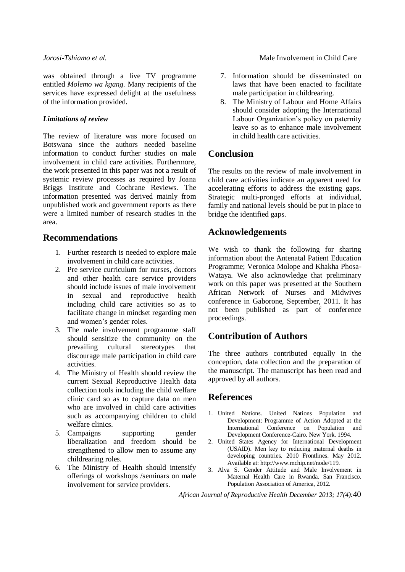was obtained through a live TV programme entitled *Molemo wa kgang.* Many recipients of the services have expressed delight at the usefulness of the information provided.

#### *Limitations of review*

The review of literature was more focused on Botswana since the authors needed baseline information to conduct further studies on male involvement in child care activities. Furthermore, the work presented in this paper was not a result of systemic review processes as required by Joana Briggs Institute and Cochrane Reviews. The information presented was derived mainly from unpublished work and government reports as there were a limited number of research studies in the area.

## **Recommendations**

- 1. Further research is needed to explore male involvement in child care activities.
- 2. Pre service curriculum for nurses, doctors and other health care service providers should include issues of male involvement in sexual and reproductive health including child care activities so as to facilitate change in mindset regarding men and women's gender roles.
- 3. The male involvement programme staff should sensitize the community on the prevailing cultural stereotypes that discourage male participation in child care activities.
- 4. The Ministry of Health should review the current Sexual Reproductive Health data collection tools including the child welfare clinic card so as to capture data on men who are involved in child care activities such as accompanying children to child welfare clinics.
- 5. Campaigns supporting gender liberalization and freedom should be strengthened to allow men to assume any childrearing roles.
- 6. The Ministry of Health should intensify offerings of workshops /seminars on male involvement for service providers.

*Jorosi-Tshiamo et al.* Male Involvement in Child Care

- 7. Information should be disseminated on laws that have been enacted to facilitate male participation in childrearing.
- 8. The Ministry of Labour and Home Affairs should consider adopting the International Labour Organization's policy on paternity leave so as to enhance male involvement in child health care activities.

## **Conclusion**

The results on the review of male involvement in child care activities indicate an apparent need for accelerating efforts to address the existing gaps. Strategic multi-pronged efforts at individual, family and national levels should be put in place to bridge the identified gaps.

## **Acknowledgements**

We wish to thank the following for sharing information about the Antenatal Patient Education Programme; Veronica Molope and Khakha Phosa-Wataya. We also acknowledge that preliminary work on this paper was presented at the Southern African Network of Nurses and Midwives conference in Gaborone, September, 2011. It has not been published as part of conference proceedings.

## **Contribution of Authors**

The three authors contributed equally in the conception, data collection and the preparation of the manuscript. The manuscript has been read and approved by all authors.

## **References**

- 1. United Nations. United Nations Population and Development: Programme of Action Adopted at the International Conference on Population and Development Conference-Cairo. New York. 1994.
- 2. United States Agency for International Development (USAID). Men key to reducing maternal deaths in developing countries. 2010 Frontlines. May 2012. Available at: http://www.mchip.net/node/119.
- 3. Alva S. Gender Attitude and Male Involvement in Maternal Health Care in Rwanda. San Francisco. Population Association of America, 2012.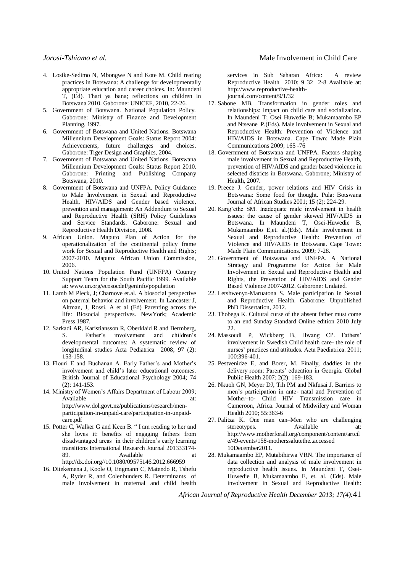- 4. Losike-Sedimo N, Mbongwe N and Kote M. Child rearing practices in Botswana: A challenge for developmentally appropriate education and career choices. In: Maundeni T, (Ed). Thari ya bana; reflections on children in Botswana 2010. Gaborone: UNICEF, 2010, 22-26.
- 5. Government of Botswana. National Population Policy. Gaborone: Ministry of Finance and Development Planning, 1997.
- 6. Government of Botswana and United Nations. Botswana Millennium Development Goals: Status Report 2004: Achievements, future challenges and choices. Gaborone: Tiger Design and Graphics, 2004.
- 7. Government of Botswana and United Nations. Botswana Millennium Development Goals: Status Report 2010. Gaborone: Printing and Publishing Company Botswana, 2010.
- 8. Government of Botswana and UNFPA. Policy Guidance to Male Involvement in Sexual and Reproductive Health, HIV/AIDS and Gender based violence, prevention and management: An Addendum to Sexual and Reproductive Health (SRH) Policy Guidelines and Service Standards. Gaborone: Sexual and Reproductive Health Division, 2008.
- 9. African Union. Maputo Plan of Action for the operationalization of the continental policy frame work for Sexual and Reproductive Health and Rights; 2007-2010. Maputo: African Union Commission, 2006.
- 10. United Nations Population Fund (UNFPA) Country Support Team for the South Pacific 1999. Available at: www.un.org/ecosocdef/geninfo/population
- 11. Lamb M Pleck, J; Charnove et.al. A biosocial perspective on paternal behavior and involvement. In Lancaster J, Altman, J, Rossi, A et al (Ed) Parenting across the life: Biosocial perspectives. NewYork; Academic Press 1987.
- 12. Sarkadi AR, Karistiansson R, Oberklaid R and Bermberg, S. Father's involvement and children's developmental outcomes: A systematic review of longitudinal studies Acta Pediatrica 2008; 97 (2): 153-158.
- 13. Flouri E and Buchanan A. Early Father's and Mother's involvement and child's later educational outcomes. British Journal of Educational Psychology 2004; 74 (2): 141-153.
- 14. Ministry of Women's Affairs Department of Labour 2009; Available at: at: http://www.dol.govt.nz/publications/research/menparticipation-in-unpaid-care/participation-in-unpaidcare.pdf
- 15. Potter C, Walker G and Keen B. " I am reading to her and she loves it: benefits of engaging fathers from disadvantaged areas in their children's early learning transitions International Research Journal 201333174- 89. Available at

http://dx.doi.org//10.1080/09575146.2012.666959

16. Ditekemena J, Koole O, Engmann C, Matendo R, Tshefu A, Ryder R, and Colenbunders R. Determinants of male involvement in maternal and child health

services in Sub Saharan Africa: A review Reproductive Health 2010; 9 32 2-8 Available at: http://www.reproductive-healthjournal.com/content/9/1/32

- 17. Sabone MB. Transformation in gender roles and relationships: Impact on child care and socialization. In Maundeni T; Osei Huwedie B; Mukamaambo EP and Ntseane P.(Eds). Male involvement in Sexual and Reproductive Health: Prevention of Violence and HIV/AIDS in Botswana. Cape Town: Made Plain Communications 2009; 165 -76
- 18. Government of Botswana and UNFPA. Factors shaping male involvement in Sexual and Reproductive Health, prevention of HIV/AIDS and gender based violence in selected districts in Botswana. Gaborone; Ministry of Health, 2007.
- 19. Preece J. Gender, power relations and HIV Crisis in Botswana: Some food for thought. Pula: Botswana Journal of African Studies 2001; 15 (2): 224-29.
- 20. Kang'ethe SM. Inadequate male involvement in health issues: the cause of gender skewed HIV/AIDS in Botswana. In Maundeni T, Osei-Huwedie B, Mukamaambo E,et. al.(Eds). Male involvement in Sexual and Reproductive Health: Prevention of Violence and HIV/AIDS in Botswana. Cape Town: Made Plain Communications. 2009; 7-28.
- 21. Government of Botswana and UNFPA. A National Strategy and Programme for Action for Male Involvement in Sexual and Reproductive Health and Rights, the Prevention of HIV/AIDS and Gender Based Violence 2007-2012. Gaborone: Undated.
- 22. Letshwenyo-Maruatona S. Male participation in Sexual and Reproductive Health. Gaborone: Unpublished PhD Dissertation, 2012.
- 23. Thobega K. Cultural curse of the absent father must come to an end Sunday Standard Online edition 2010 July 22.
- 24. Massoudi P, Wickberg B, Hwang CP. Fathers' involvement in Swedish Child health care- the role of nurses' practices and attitudes. Acta Paediatrica. 2011; 100:396-401.
- 25. Pestvenidze E, and Borer, M. Finally, daddies in the delivery room: Parents' education in Georgia. Global Public Health 2007; 2(2): 169-183.
- 26. Nkuoh GN, Meyer DJ, Tih PM and Nkfusai J. Barriers to men's participation in ante- natal and Prevention of Mother–to- Child HIV Transmission care in Cameroon, Africa. Journal of Midwifery and Woman Health 2010; 55:363-6
- 27. Palitza K. One man can–Men who are challenging stereotypes. Available at: http://www.motherforall.org/component/content/artcil e/49-events/158-motherssalutethe..accessed 10December2011.
- 28. Mukamaambo EP, Mutabihirwa VRN. The importance of data collection and analysis of male involvement in reproductive health issues. In Maundeni T, Osei-Huwedie B, Mukamaambo E, et. al. (Eds). Male involvement in Sexual and Reproductive Health: